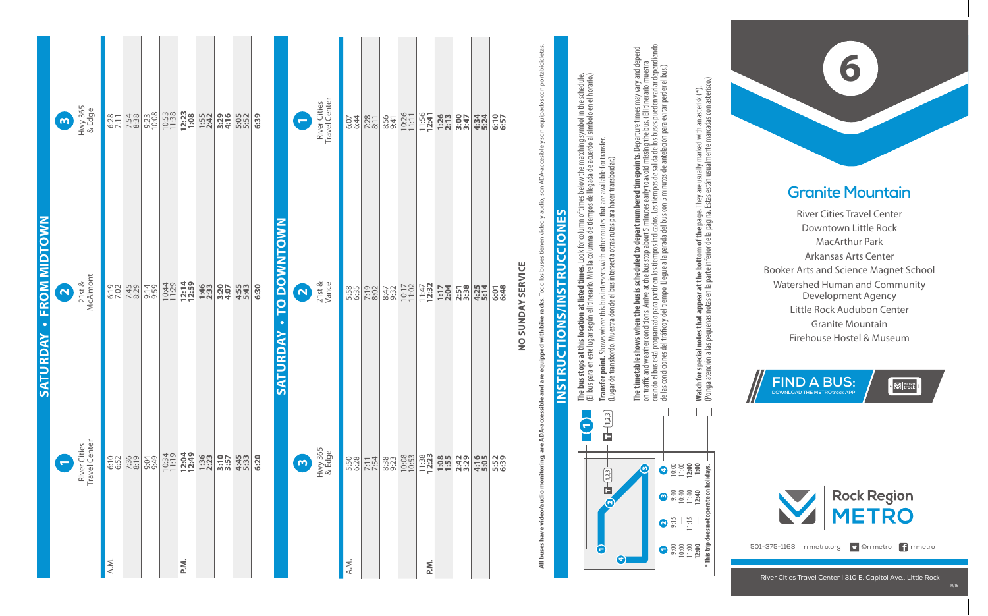| $\boldsymbol{\omega}$   | Hwy 365<br>& Edge             | 6:28         | 7:54<br>8:38 | 9:23<br>10:08 | $10:53$<br>$11:38$ | 12:23          | 1:55<br>2:42 | 3:29<br>4:16 | 5:05<br>5:52 | 6:39 | $\blacksquare$          | River Cities<br>Travel Center | e:41         | 7:28<br>8:11 | 8:56<br>9:41 | 10:26 | 11:56<br>12:41   | 1:26          | 3:47         | 4:34<br>5:24 | 6:57         |
|-------------------------|-------------------------------|--------------|--------------|---------------|--------------------|----------------|--------------|--------------|--------------|------|-------------------------|-------------------------------|--------------|--------------|--------------|-------|------------------|---------------|--------------|--------------|--------------|
| $\overline{\mathbf{N}}$ | McAlmont<br>21st &            | 6:19         | 7:45<br>8:29 | 9:59<br>9:59  | 10:44              | 12:14<br>12:59 | 1:46<br>2:33 | 3:207        | 4:55<br>5:43 | 6:30 | $\overline{\mathbf{N}}$ | 21st &<br>Vance               | 5:58<br>6:35 | 7:19         | 8:47         | 10:17 | $11:47$<br>12:32 | 1:17<br>2:04  | 2:51<br>3:38 | 4:25<br>5:14 | 6:48         |
| $\overline{ }$          | River Cities<br>Travel Center | 6:10<br>6:52 | 7:36<br>8:19 | 9:49          | 10:34              | 12:04          |              | 3:10         | 4:45<br>5:33 | 6:20 | $\omega$                | Hwy 365<br>& Edge             | 5:50<br>6:28 | 7:54         | 8:38         |       | $11:38$<br>12:23 | 1:55          | 2:42         | 4:16         | 5:52<br>6:39 |
|                         |                               |              | A.M.         |               |                    |                | P.M.         |              | 1:36         |      | SATURDAY - TO DOWNTOWN  |                               |              | A.M.         |              |       |                  | 10:08<br>P.M. |              |              |              |

NO SUNDAY SERVICE **no sunday service**

**All buses have video/audio monitoring, are ADA-accessible and are equipped with bike racks. Todo los buses tienen video y audio, son ADA-accesible y son equipados con portabicicletas.** son ADA-accesible y son equipados con portabicicletas are equipped with bike racks. Todo los b All buses have video/audio monitoring, are ADA-accessible and

## <u>က</u> **Instructions/Instrucciones** CIONE ŭ **CTIONS/INSTRU NSTRU**



**The bus stops at this location at listed times.** Look for column of times below the matching symbol in the schedule. **The bus stops at this location at listed times.** Look for column of times below the matching symbol in the schedule.<br>(El bus para en este lugar según el itinerario. Mire la columna de tiempos de llegada de acuerdo al símb (El bus para en este lugar según el itinerario. Mire la columna de tiempos de llegada de acuerdo al símbolo en el horario.) **Transfer point.** Shows where this bus intersects with other routes that are available for transfer. **Transfer point.** Shows where this bus intersects with other routes that are available for transfer.<br>(Lugar de transbordo. Muestra donde el bus intersecta otras rutas para hacer transbordar.) (Lugar de transbordo. Muestra donde el bus intersecta otras rutas para hacer transbordar.)

**The timetable shows when the bus is scheduled to depart numbered timepoints.** Departure times may vary and depend<br>on traffic and weather conditions. Arrive at the bus stop about 5 minutes early to avoid missing the bus. ( cuando el bus está programado para partir en los tiempos indicados. Los tiempos de salida de los buses pueden variar dependiendo **The timetable shows when the bus is scheduled to depart numbered timepoints.** Departure times may vary and depend on traffic and weather conditions. Arrive at the bus stop about 5 minutes early to avoid missing the bus. (El itinerario muestra

de las condiciones del tráco y del tiempo. Llegue a la parada del bus con 5 minutos de antelación para evitar perder el bus.) **Watch for special notes that appear at the bottom of the page.** They are usually marked with an asterisk (\*).<br>(Ponga atención a las pequeñas notas en la parte inferior de la página. Estas están usualmente marcadas con as **Watch for special notes that appear at the bottom of the page.** They are usually marked with an asterisk (\*).

(Ponga atención a las pequeñas notas en la parte inferior de la página. Estas están usualmente marcadas con asterisco.)

**\* This trip does not operate on holidays.**

does not

ate on



## **Granite Mountain**

River Cities Travel Center Downtown Little Rock MacArthur Park Arkansas Arts Center Booker Arts and Science Magnet School Watershed Human and Community Development Agency Little Rock Audubon Center Granite Mountain **Granite Mountain**<br>River Cities Travel Center<br>Downtown Little Rock<br>MacArthur Park<br>Arkansas Arts Center<br>Practs and Science Magnet S<br>ershed Human and Commu<br>Development Agency<br>Little Rock Audubon Center<br>Granite Mountain<br>Fireh





501-375-1163 rrmetro.org **D** @rrmetro **f** rrmetro

 $10/16$